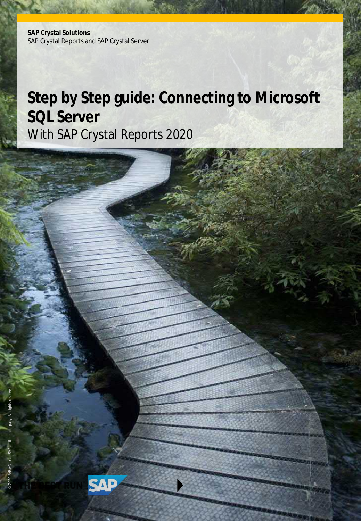**SAP Crystal Solutions** SAP Crystal Reports and SAP Crystal Server

# **Step by Step guide: Connecting to Microsoft SQL Server** With SAP Crystal Reports 2020

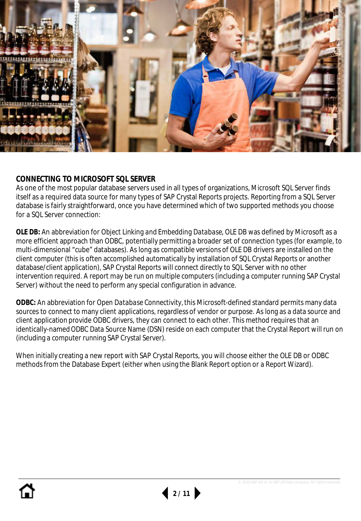

## **CONNECTING TO MICROSOFT SQL SERVER**

As one of the most popular database servers used in all types of organizations, Microsoft SQL Server finds itself as a required data source for many types of SAP Crystal Reports projects. Reporting from a SQL Server database is fairly straightforward, once you have determined which of two supported methods you choose for a SQL Server connection:

**OLE DB:** An abbreviation for *Object Linking and Embedding Database*, OLE DB was defined by Microsoft as a more efficient approach than ODBC, potentially permitting a broader set of connection types (for example, to multi-dimensional "cube" databases). As long as compatible versions of OLE DB drivers are installed on the client computer (this is often accomplished automatically by installation of SQL Crystal Reports or another database/client application), SAP Crystal Reports will connect directly to SQL Server with no other intervention required. A report may be run on multiple computers (including a computer running SAP Crystal Server) without the need to perform any special configuration in advance.

**ODBC:** An abbreviation for *Open Database Connectivity*, this Microsoft-defined standard permits many data sources to connect to many client applications, regardless of vendor or purpose. As long as a data source and client application provide ODBC drivers, they can connect to each other. This method requires that an identically-named ODBC Data Source Name (DSN) reside on each computer that the Crystal Report will run on (including a computer running SAP Crystal Server).

When initially creating a new report with SAP Crystal Reports, you will choose either the OLE DB or ODBC methods from the Database Expert (either when using the Blank Report option or a Report Wizard).

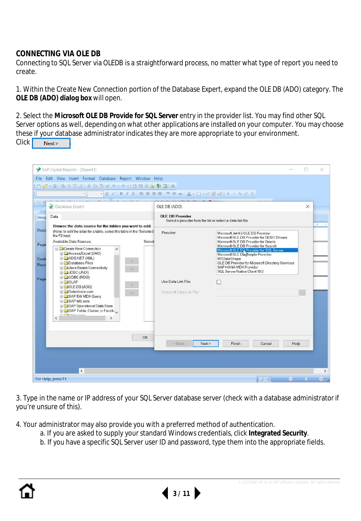### **CONNECTING VIA OLE DB**

Connecting to SQL Server via OLEDB is a straightforward process, no matter what type of report you need to create.

1. Within the Create New Connection portion of the Database Expert, expand the OLE DB (ADO) category. The **OLE DB (ADO) dialog box** will open.

2. Select the **Microsoft OLE DB Provide for SQL Server** entry in the provider list. You may find other SQL Server options as well, depending on what other applications are installed on your computer. You may choose these if your database administrator indicates they are more appropriate to your environment. Click Next>

| SAP Crystal Reports - [Report1]<br>File Edit View Insert Format Database Report Window Help                                                                                                                                                                                                                                                                                                                                                                                                                                                                                                                                          |                                                                                       |                                                                                                                                                                                                                                                                                                                                                                                      | ×                  |
|--------------------------------------------------------------------------------------------------------------------------------------------------------------------------------------------------------------------------------------------------------------------------------------------------------------------------------------------------------------------------------------------------------------------------------------------------------------------------------------------------------------------------------------------------------------------------------------------------------------------------------------|---------------------------------------------------------------------------------------|--------------------------------------------------------------------------------------------------------------------------------------------------------------------------------------------------------------------------------------------------------------------------------------------------------------------------------------------------------------------------------------|--------------------|
| 02-22-3024 40349-0-10876974<br>As G<br>Database Expert                                                                                                                                                                                                                                                                                                                                                                                                                                                                                                                                                                               | · A X   B Z U   图 画 三 三   H = =   A · - - - - 图 画   5 · 0 · 0 %<br>OLE DB (ADO)       | $\times$                                                                                                                                                                                                                                                                                                                                                                             |                    |
| Data<br>Desig<br>Browse the data source for the tables you want to add.                                                                                                                                                                                                                                                                                                                                                                                                                                                                                                                                                              | <b>OLE DB Provider</b><br>Select a provider from the list or select a data link file. |                                                                                                                                                                                                                                                                                                                                                                                      | $1 - 1 - 1$        |
| Repo<br>(Note: to edit the alias for a table, select the table in the 'Selected<br>the F2 key)<br>Available Data Sources:<br>Select<br>Page<br>Create New Connection<br>$\hat{\phantom{a}}$<br><b>EL</b> Access/Excel (DAO)<br>E CADO.NET (XML)<br>Detai<br><b>IDatabase Files</b><br>Repo<br><b>H</b> Java Beans Connectivity<br>><br>E JDBC (JNDI)<br>E ODBC (RDO)<br>Page<br><b>FOLAP</b><br><b>EL OLE DB (ADO)</b><br>F Salesforce.com<br>$\infty$<br>E SAP BW MDX Query<br><b>⊞</b> SAP Info sets<br><b>E SAP Operational Data Store</b><br>FI SAP Table, Cluster, or Functive<br>$\pi$ $\Box$ Initiation<br>z<br>$\rightarrow$ | Provider:<br>Use Data Link File:<br>Microsoft Data Link File:                         | Microsoft Jet 4.0 OLE DB Provider<br>Microsoft OLE DB Provider for ODBC Drivers<br>Microsoft OLE DB Provider for Oracle<br>Microsoft OLE DB Provider for Search<br>Microsoft OLE DR Provider for SQL Server<br>Microsoft OLE Dia Simple Provider<br><b>MSDataShape</b><br>OLE DB Provider for Microsoft Directory Services<br>SAP HANA MDX Provider<br>SQL Server Native Client 10.0 |                    |
| OK                                                                                                                                                                                                                                                                                                                                                                                                                                                                                                                                                                                                                                   | Next<br>$6$                                                                           | Finish<br>Help<br>Cancel                                                                                                                                                                                                                                                                                                                                                             |                    |
| $\epsilon$                                                                                                                                                                                                                                                                                                                                                                                                                                                                                                                                                                                                                           |                                                                                       | e.                                                                                                                                                                                                                                                                                                                                                                                   | $\rightarrow$<br>÷ |
| For Help, press F1                                                                                                                                                                                                                                                                                                                                                                                                                                                                                                                                                                                                                   |                                                                                       | 日日                                                                                                                                                                                                                                                                                                                                                                                   |                    |

3. Type in the name or IP address of your SQL Server database server (check with a database administrator if you're unsure of this).

4. Your administrator may also provide you with a preferred method of authentication.

- a. If you are asked to supply your standard Windows credentials, click **Integrated Security**.
- b. If you have a specific SQL Server user ID and password, type them into the appropriate fields.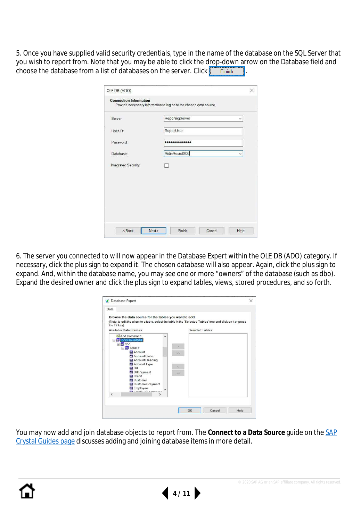5. Once you have supplied valid security credentials, type in the name of the database on the SQL Server that you wish to report from. Note that you may be able to click the drop-down arrow on the Database field and choose the database from a list of databases on the server. Click  $\blacksquare$  Finish  $\blacksquare$ .

| Server:              | ReportingServer | $\vee$        |
|----------------------|-----------------|---------------|
| User ID:             | ReportUser      |               |
| Password:            |                 |               |
| Database:            | RidinRoundSQL   | $\ddot{\vee}$ |
| Integrated Security: |                 |               |
|                      |                 |               |
|                      |                 |               |
|                      |                 |               |

6. The server you connected to will now appear in the Database Expert within the OLE DB (ADO) category. If necessary, click the plus sign to expand it. The chosen database will also appear. Again, click the plus sign to expand. And, within the database name, you may see one or more "owners" of the database (such as dbo). Expand the desired owner and click the plus sign to expand tables, views, stored procedures, and so forth.

|                                 | Browse the data source for the tables you want to add.                                                        |        |                  |  |  |
|---------------------------------|---------------------------------------------------------------------------------------------------------------|--------|------------------|--|--|
| the F2 key)                     | (Note: to edit the alias for a table, select the table in the 'Selected Tables' tree and click on it or press |        |                  |  |  |
| Available Data Sources:         |                                                                                                               |        | Selected Tables: |  |  |
|                                 |                                                                                                               |        |                  |  |  |
| 图 Add Command                   |                                                                                                               |        |                  |  |  |
| RidinRoundSQL<br>日 <b>面</b> dbo |                                                                                                               |        |                  |  |  |
| □ <b>同</b> Tables               |                                                                                                               |        |                  |  |  |
|                                 | <b>图 Account</b>                                                                                              | $>\!>$ |                  |  |  |
|                                 | <b>图 Account Class</b>                                                                                        |        |                  |  |  |
|                                 | 图 Account Heading                                                                                             |        |                  |  |  |
|                                 | <b>国 Account Type</b>                                                                                         |        |                  |  |  |
|                                 | 国Bill                                                                                                         |        |                  |  |  |
|                                 | <b>Bill Payment</b><br><b>BE</b> Credit                                                                       | k.     |                  |  |  |
|                                 | 图 Customer                                                                                                    |        |                  |  |  |
|                                 | Customer Payment                                                                                              |        |                  |  |  |
|                                 | Employee                                                                                                      |        |                  |  |  |
| $\overline{\phantom{a}}$        | <b>Ral Connicuso Addresses</b><br>$\rightarrow$                                                               |        |                  |  |  |
|                                 |                                                                                                               |        |                  |  |  |

[You may now add and join database objects to report from. The](https://www.crystalreports.com/guides/) **Connect to a Data Source** guide on the SAP Crystal Guides page discusses adding and joining database items in more detail.



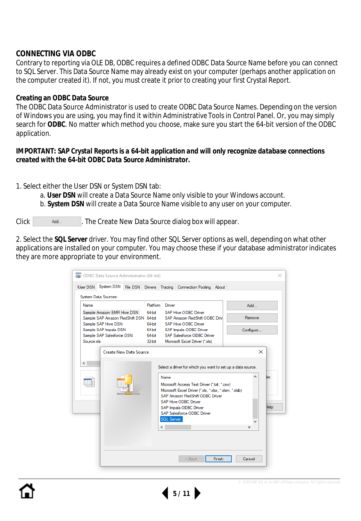## **CONNECTING VIA ODBC**

Contrary to reporting via OLE DB, ODBC requires a defined ODBC Data Source Name before you can connect to SQL Server. This Data Source Name may already exist on your computer (perhaps another application on the computer created it). If not, you must create it prior to creating your first Crystal Report.

#### **Creating an ODBC Data Source**

The ODBC Data Source Administrator is used to create ODBC Data Source Names. Depending on the version of Windows you are using, you may find it within Administrative Tools in Control Panel. Or, you may simply search for **ODBC**. No matter which method you choose, make sure you start the 64-bit version of the ODBC application.

*IMPORTANT: SAP Crystal Reports is a 64-bit application and will only recognize database connections created with the 64-bit ODBC Data Source Administrator.*

1. Select either the User DSN or System DSN tab:

- a. **User DSN** will create a Data Source Name only visible to your Windows account.
- b. **System DSN** will create a Data Source Name visible to any user on your computer.

Click **Add..** The Create New Data Source dialog box will appear.

2. Select the **SQL Server** driver. You may find other SQL Server options as well, depending on what other applications are installed on your computer. You may choose these if your database administrator indicates they are more appropriate to your environment.

|            |                      | 64-bit                                                                                                                |                               |                                                                  |                      |                                                                                                                                                                                                 |                                                                                                                                                                                           |                                                                                                       |                                                                                                |
|------------|----------------------|-----------------------------------------------------------------------------------------------------------------------|-------------------------------|------------------------------------------------------------------|----------------------|-------------------------------------------------------------------------------------------------------------------------------------------------------------------------------------------------|-------------------------------------------------------------------------------------------------------------------------------------------------------------------------------------------|-------------------------------------------------------------------------------------------------------|------------------------------------------------------------------------------------------------|
|            |                      |                                                                                                                       |                               |                                                                  |                      |                                                                                                                                                                                                 |                                                                                                                                                                                           |                                                                                                       |                                                                                                |
|            |                      | 64-bit                                                                                                                |                               |                                                                  |                      |                                                                                                                                                                                                 |                                                                                                                                                                                           |                                                                                                       |                                                                                                |
| Source xls |                      | 32-bit                                                                                                                |                               |                                                                  |                      |                                                                                                                                                                                                 |                                                                                                                                                                                           |                                                                                                       |                                                                                                |
|            |                      |                                                                                                                       |                               |                                                                  |                      |                                                                                                                                                                                                 |                                                                                                                                                                                           | $\times$                                                                                              |                                                                                                |
|            |                      |                                                                                                                       |                               |                                                                  |                      |                                                                                                                                                                                                 |                                                                                                                                                                                           | ∼                                                                                                     | ler.                                                                                           |
|            |                      |                                                                                                                       |                               |                                                                  |                      |                                                                                                                                                                                                 |                                                                                                                                                                                           |                                                                                                       | Help                                                                                           |
|            |                      |                                                                                                                       |                               |                                                                  |                      |                                                                                                                                                                                                 |                                                                                                                                                                                           |                                                                                                       |                                                                                                |
|            |                      |                                                                                                                       |                               |                                                                  |                      |                                                                                                                                                                                                 |                                                                                                                                                                                           |                                                                                                       |                                                                                                |
|            | System Data Sources: | System DSN<br>Sample Amazon EMR Hive DSN<br>Sample SAP Hive DSN<br>Sample SAP Impala DSN<br>Sample SAP Salesforce DSN | <b>Create New Data Source</b> | Platform<br>64-bit<br>64-bit<br>Name<br>$\overline{\phantom{a}}$ | Driver<br>SQL Server | SAP Hive ODBC Driver<br>SAP Hive ODBC Driver<br>SAP Impala ODBC Driver<br>Microsoft Excel Driver (* xls)<br><b>SAP Hive ODBC Driver</b><br>SAP Impala ODBC Driver<br>SAP Salesforce ODBC Driver | File DSN Drivers Tracing Connection Pooling About<br>Sample SAP Amazon RedShift DSN 64-bit SAP Amazon RedShift ODBC Driv<br>SAP Salesforce ODBC Driver<br>SAP Amazon RedShift ODBC Driver | Microsoft Access Text Driver (*.txt. *.csv)<br>Microsoft Excel Driver (*.xls, *.xlsx, *.xlsm, *.xlsb) | Add<br>Remove<br>Configure<br>Select a driver for which you want to set up a data source.<br>⋗ |

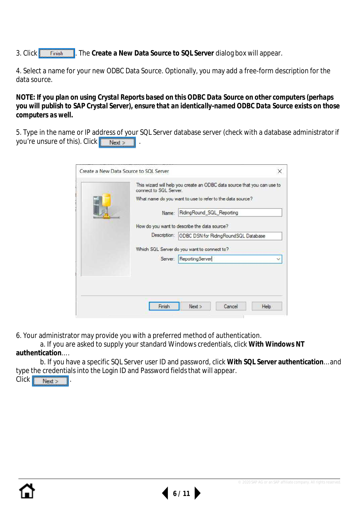3. Click . The **Create a New Data Source to SQL Server** dialog box will appear.

4. Select a name for your new ODBC Data Source. Optionally, you may add a free-form description for the data source.

*NOTE: If you plan on using Crystal Reports based on this ODBC Data Source on other computers (perhaps you will publish to SAP Crystal Server), ensure that an identically-named ODBC Data Source exists on those computers as well.*

5. Type in the name or IP address of your SQL Server database server (check with a database administrator if you're unsure of this). Click Next >

| This wizard will help you create an ODBC data source that you can use to<br>connect to SQL Server. |
|----------------------------------------------------------------------------------------------------|
| What name do you want to use to refer to the data source?                                          |
| RidingRound SQL Reporting<br>Name:                                                                 |
| How do you want to describe the data source?                                                       |
| Description:<br><b>ODBC DSN for RidingRoundSQL Database</b>                                        |
| Which SQL Server do you want to connect to?                                                        |
| ReportingServer<br>Server:<br>v                                                                    |
|                                                                                                    |
|                                                                                                    |
|                                                                                                    |
| Next<br>Cancel<br>Finish<br><b>Help</b>                                                            |

6. Your administrator may provide you with a preferred method of authentication.

a. If you are asked to supply your standard Windows credentials, click **With Windows NT authentication**… .

b. If you have a specific SQL Server user ID and password, click **With SQL Server authentication**… and type the credentials into the Login ID and Password fields that will appear.

**6 / 11**

Click Next >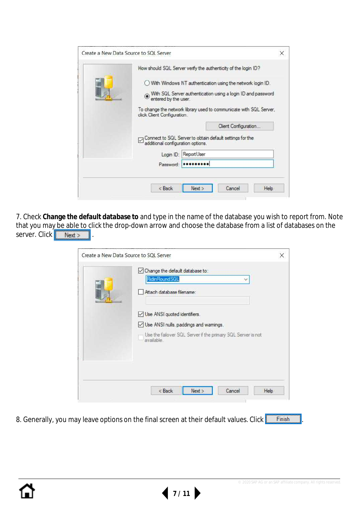|                                   | How should SQL Server verify the authenticity of the login ID?                                                             |
|-----------------------------------|----------------------------------------------------------------------------------------------------------------------------|
| entered by the user.              | With Windows NT authentication using the network login ID.<br>With SQL Server authentication using a login ID and password |
| click Client Configuration.       | To change the network library used to communicate with SQL Server,<br>Client Configuration                                 |
| additional configuration options. | Connect to SQL Server to obtain default settings for the                                                                   |
| Login ID:                         | ReportUser                                                                                                                 |
|                                   |                                                                                                                            |
| Password:                         |                                                                                                                            |

7. Check **Change the default database to** and type in the name of the database you wish to report from. Note that you may be able to click the drop-down arrow and choose the database from a list of databases on the server. Click . Next > .

| <b>Ridin Round SQL</b>                                                     |
|----------------------------------------------------------------------------|
| Attach database filename:                                                  |
| Use ANSI quoted identifiers.                                               |
| Use ANSI nulls, paddings and warnings.                                     |
| Use the failover SQL Server if the primary SQL Server is not<br>available. |
|                                                                            |
|                                                                            |
|                                                                            |

8. Generally, you may leave options on the final screen at their default values. Click Finish

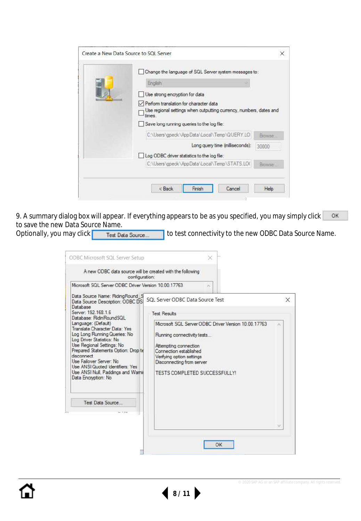| Change the language of SQL Server system messages to:                                                                  |         |
|------------------------------------------------------------------------------------------------------------------------|---------|
| <b>English</b>                                                                                                         |         |
| Use strong encryption for data                                                                                         |         |
| Perform translation for character data<br>Use regional settings when outputting currency, numbers, dates and<br>times. |         |
| Save long running queries to the log file:                                                                             |         |
| C:\Users\gpeck\AppData\Local\Temp\QUERY.LO                                                                             | Browse. |
| Long query time (milliseconds):                                                                                        | 30000   |
| Log ODBC driver statistics to the log file:                                                                            |         |
| C:\Users\gpeck\AppData\Local\Temp\STATS.LOC                                                                            | Browse  |
|                                                                                                                        |         |

OK 9. A summary dialog box will appear. If everything appears to be as you specified, you may simply click to save the new Data Source Name.

Optionally, you may click **Test Data Source...** I to test connectivity to the new ODBC Data Source Name.

| configuration:                                                                                                                                                                                                                                                                                                                                                                                                                                                                                                                                                   |                                                                                                                                                                                                                                                                                                   |          |
|------------------------------------------------------------------------------------------------------------------------------------------------------------------------------------------------------------------------------------------------------------------------------------------------------------------------------------------------------------------------------------------------------------------------------------------------------------------------------------------------------------------------------------------------------------------|---------------------------------------------------------------------------------------------------------------------------------------------------------------------------------------------------------------------------------------------------------------------------------------------------|----------|
| Microsoft SQL Server ODBC Driver Version 10.00.17763<br>Data Source Name: RidingRound S<br>Data Source Description: ODBC DS<br>Database<br>Server: 192, 168, 1.6<br>Database: RidinRoundSQL<br>Language: (Default)<br>Translate Character Data: Yes<br>Log Long Running Queries: No<br>Log Driver Statistics: No<br>Use Regional Settings: No<br>Prepared Statements Option: Drop to<br>disconnect<br><b>Use Failover Server: No</b><br><b>Use ANSI Quoted Identifiers: Yes</b><br>Use ANSI Null, Paddings and Warnir<br>Data Encryption: No<br>Test Data Source | r.<br>SOL Server ODBC Data Source Test<br><b>Test Results</b><br>Microsoft SQL Server ODBC Driver Version 10.00.17763<br>Running connectivity tests<br>Attempting connection<br>Connection established<br>Verifying option settings<br>Disconnecting from server<br>TESTS COMPLETED SUCCESSFULLY! | $\times$ |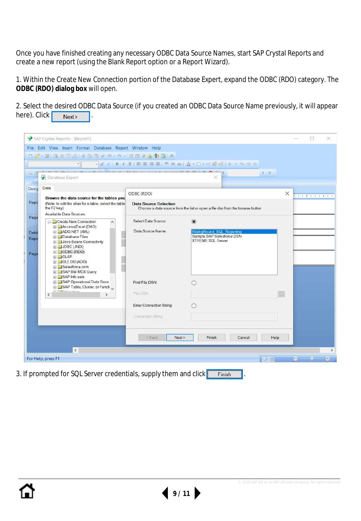Once you have finished creating any necessary ODBC Data Source Names, start SAP Crystal Reports and create a new report (using the Blank Report option or a Report Wizard).

1. Within the Create New Connection portion of the Database Expert, expand the ODBC (RDO) category. The **ODBC (RDO) dialog box** will open.

2. Select the desired ODBC Data Source (if you created an ODBC Data Source Name previously, it will appear  $here$ ). Click  $\sqrt{\frac{N}{N}$  .

|                       | SAP Crystal Reports - [Report1]<br>File Edit View Insert Format Database Report Window Help                                                                                                                   |                                 |                                                                                    | O<br>×                 |
|-----------------------|---------------------------------------------------------------------------------------------------------------------------------------------------------------------------------------------------------------|---------------------------------|------------------------------------------------------------------------------------|------------------------|
|                       |                                                                                                                                                                                                               |                                 |                                                                                    |                        |
|                       |                                                                                                                                                                                                               |                                 | · A X   B / U   图 画 画 画 画 画 画 画 画 A · 图 · 画 画 画 图 1 5 · 10 · 2 页                   |                        |
| Aa (B                 | Database Expert                                                                                                                                                                                               |                                 | $F - H$                                                                            |                        |
| Desig                 | Data<br>Browse the data source for the tables you                                                                                                                                                             | ODBC (RDO)                      |                                                                                    | X<br>and The art there |
| Repo                  | (Note: to edit the alias for a table, select the table)<br>the F2 key)<br>Available Data Sources:                                                                                                             | <b>Data Source Selection</b>    | Choose a data source from the list or open a file dsn from the browse button       |                        |
| Page                  | <b>Create New Connection</b><br><b>EL</b> Access/Excel (DAO)                                                                                                                                                  | Select Data Source:             | $\odot$                                                                            |                        |
| Detai<br>Repo<br>Page | E ADO.NET (XML)<br><b>El Database Files</b><br>Java Beans Connectivity<br><b>ED</b> JDBC (JNDI)<br><b>EL</b> ODBC (RDO)<br><b>ED</b> OLAP<br><b>EDB</b> (ADO)<br><b>El Salesforce.com</b><br>SAP BW MDX Query | Data Source Name:               | RidingRound_SQL_Reporting<br>Sample SAP Salesforce DSN<br><b>XTREME SQL Server</b> |                        |
|                       | <b>El SAP</b> Info sets<br>SAP Operational Data Store<br>SAP Table, Cluster, or Functi                                                                                                                        | Find File DSN:                  | O                                                                                  |                        |
|                       | <b>m Cal Initiation</b><br><                                                                                                                                                                                  | File DSN:                       |                                                                                    |                        |
|                       |                                                                                                                                                                                                               | <b>Enter Connection String:</b> | ∩                                                                                  |                        |
|                       |                                                                                                                                                                                                               | Connection String               |                                                                                    |                        |
|                       |                                                                                                                                                                                                               | <back<br>Next &gt;</back<br>    | Finish<br>Cancel<br>Help                                                           |                        |
|                       | $\overline{\phantom{a}}$                                                                                                                                                                                      |                                 |                                                                                    | $\rightarrow$          |
|                       | For Help, press F1                                                                                                                                                                                            |                                 | 倒<br>H.                                                                            | $\oplus$<br>e.         |

**9 / 11**

3. If prompted for SQL Server credentials, supply them and click Finish .

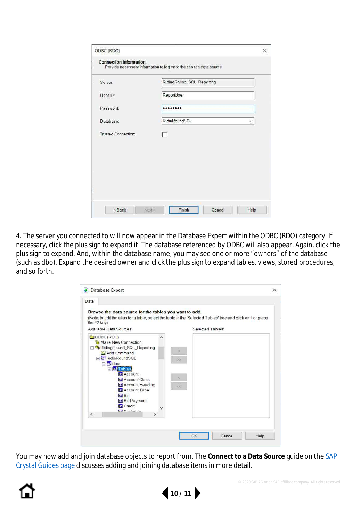|                            | Provide necessary information to log on to the chosen data source |              |
|----------------------------|-------------------------------------------------------------------|--------------|
| Server:                    | RidingRound_SQL_Reporting                                         |              |
| User ID:                   | ReportUser                                                        |              |
| Password:                  |                                                                   |              |
| Database:                  | RidinRoundSQL                                                     | $\checkmark$ |
| <b>Trusted Connection:</b> |                                                                   |              |
|                            |                                                                   |              |
|                            |                                                                   |              |
|                            |                                                                   |              |
|                            |                                                                   |              |

4. The server you connected to will now appear in the Database Expert within the ODBC (RDO) category. If necessary, click the plus sign to expand it. The database referenced by ODBC will also appear. Again, click the plus sign to expand. And, within the database name, you may see one or more "owners" of the database (such as dbo). Expand the desired owner and click the plus sign to expand tables, views, stored procedures, and so forth.

| Browse the data source for the tables you want to add.                                                                                                  |   |    |                  |  |
|---------------------------------------------------------------------------------------------------------------------------------------------------------|---|----|------------------|--|
| (Note: to edit the alias for a table, select the table in the 'Selected Tables' tree and click on it or press<br>the F2 key)<br>Available Data Sources: |   |    | Selected Tables: |  |
| ODBC (RDO)<br>Make New Connection                                                                                                                       | ́ |    |                  |  |
| RidingRound_SQL_Reporting<br>Add Command<br>RidinRoundSQL<br>日 <b>同</b> dbo                                                                             |   | >  |                  |  |
| 日 <b>回Tables</b><br><b>国 Account</b><br><b>国 Account Class</b>                                                                                          |   |    |                  |  |
| <b>国 Account Heading</b><br>Account Type<br>国Bill<br><b>Bill Payment</b>                                                                                |   | 66 |                  |  |
| <b>四</b> Credit<br>$F \cup F$<br>$\overline{\phantom{a}}$<br>$\rightarrow$                                                                              |   |    |                  |  |

[You may now add and join database objects to report from. The](https://www.crystalreports.com/guides/) **Connect to a Data Source** guide on the SAP Crystal Guides page discusses adding and joining database items in more detail.